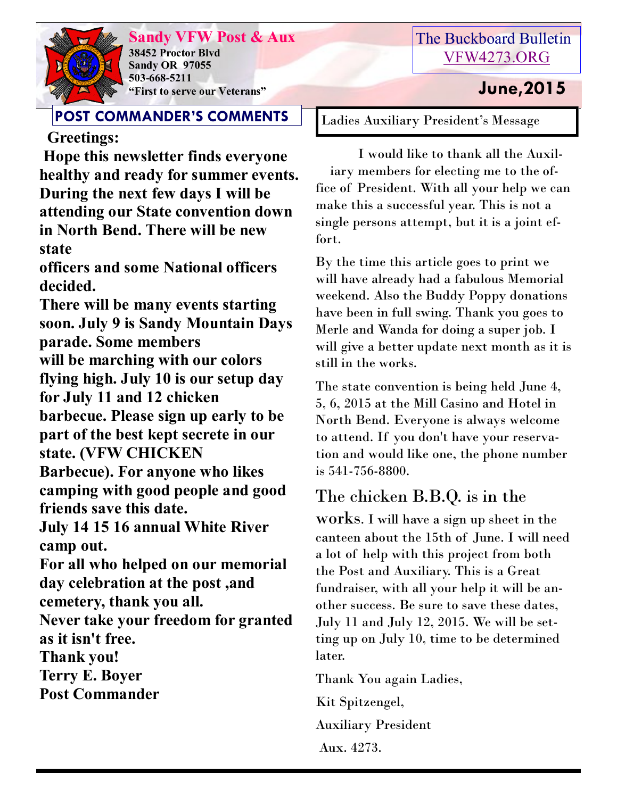

**Sandy VFW Post & Aux 38452 Proctor Blvd Sandy OR 97055 503-668-5211 "First to serve our Veterans" June,2015** 

## **POST COMMANDER'S COMMENTS**

## **Greetings:**

**Hope this newsletter finds everyone healthy and ready for summer events. During the next few days I will be attending our State convention down in North Bend. There will be new state**

**officers and some National officers decided.**

**There will be many events starting soon. July 9 is Sandy Mountain Days parade. Some members will be marching with our colors flying high. July 10 is our setup day for July 11 and 12 chicken barbecue. Please sign up early to be part of the best kept secrete in our state. (VFW CHICKEN Barbecue). For anyone who likes** 

**camping with good people and good friends save this date.**

**July 14 15 16 annual White River camp out.**

**For all who helped on our memorial day celebration at the post ,and cemetery, thank you all.**

**Never take your freedom for granted as it isn't free.**

**Thank you!**

**Terry E. Boyer**

**Post Commander**

# The Buckboard Bulletin [VFW4273.ORG](http://vfw4273.org/)

Ladies Auxiliary President's Message

 I would like to thank all the Auxiliary members for electing me to the office of President. With all your help we can make this a successful year. This is not a single persons attempt, but it is a joint effort.

By the time this article goes to print we will have already had a fabulous Memorial weekend. Also the Buddy Poppy donations have been in full swing. Thank you goes to Merle and Wanda for doing a super job. I will give a better update next month as it is still in the works.

The state convention is being held June 4, 5, 6, 2015 at the Mill Casino and Hotel in North Bend. Everyone is always welcome to attend. If you don't have your reservation and would like one, the phone number is 541-756-8800.

# The chicken B.B.Q. is in the

works. I will have a sign up sheet in the canteen about the 15th of June. I will need a lot of help with this project from both the Post and Auxiliary. This is a Great fundraiser, with all your help it will be another success. Be sure to save these dates, July 11 and July 12, 2015. We will be setting up on July 10, time to be determined later.

Thank You again Ladies,

Kit Spitzengel,

Auxiliary President

Aux. 4273.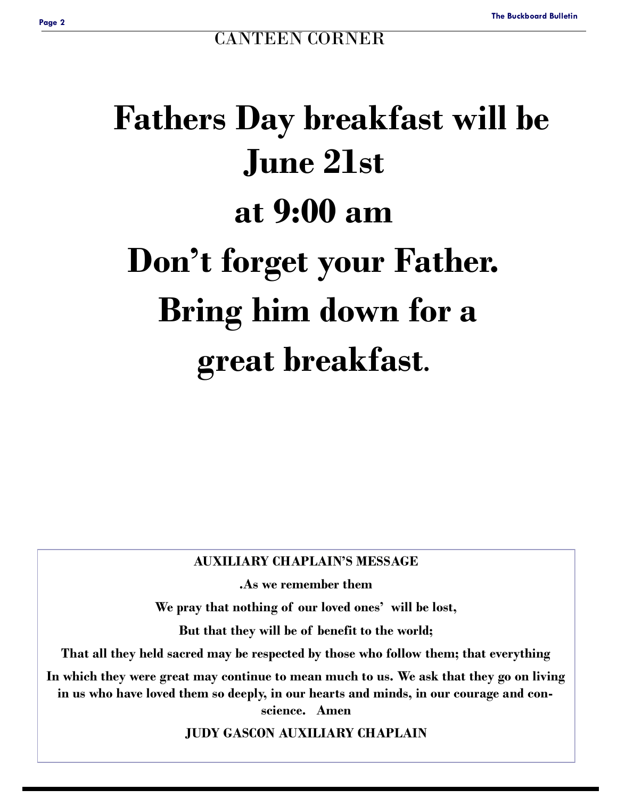# **Fathers Day breakfast will be June 21st at 9:00 am Don't forget your Father. Bring him down for a great breakfast.**

#### **AUXILIARY CHAPLAIN'S MESSAGE**

**.As we remember them** 

**We pray that nothing of our loved ones' will be lost,**

**But that they will be of benefit to the world;**

**That all they held sacred may be respected by those who follow them; that everything**

**In which they were great may continue to mean much to us. We ask that they go on living in us who have loved them so deeply, in our hearts and minds, in our courage and conscience. Amen**

**JUDY GASCON AUXILIARY CHAPLAIN**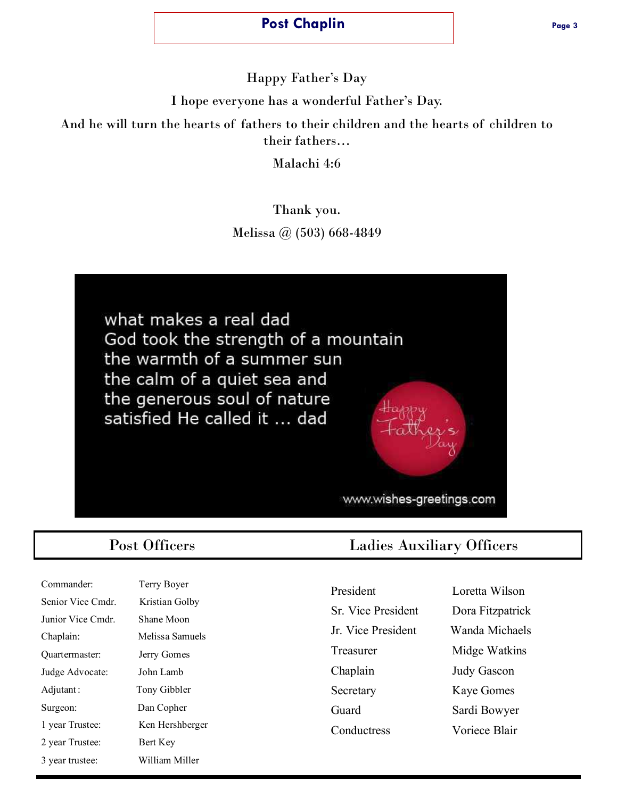#### **Post Chaplin Post Chaplin Page 3**

Happy Father's Day

I hope everyone has a wonderful Father's Day.

And he will turn the hearts of fathers to their children and the hearts of children to their fathers…

Malachi 4:6

Thank you. Melissa @ (503) 668-4849

what makes a real dad God took the strength of a mountain the warmth of a summer sun the calm of a quiet sea and the generous soul of nature satisfied He called it ... dad

www.wishes-greetings.com

| Commander:        | Terry Boyer    |
|-------------------|----------------|
| Senior Vice Cmdr. | Kristian Golby |
| Junior Vice Cmdr. | Shane Moon     |
| Chaplain:         | Melissa Samue  |
| Quartermaster:    | Jerry Gomes    |
| Judge Advocate:   | John Lamb      |
| Adjutant:         | Tony Gibbler   |
| Surgeon:          | Dan Copher     |
| 1 year Trustee:   | Ken Hershberg  |
| 2 year Trustee:   | Bert Key       |
| 3 year trustee:   | William Miller |

Senior Vice Cmdr. Kristian Golby hane Moon lelissa Samuels erry Gomes bhn Lamb ony Gibbler an Copher len Hershberger ert Key

### Post Officers Ladies Auxiliary Officers

President Loretta Wilson Sr. Vice President Dora Fitzpatrick Jr. Vice President Wanda Michaels Treasurer Midge Watkins Chaplain Judy Gascon Secretary Kaye Gomes Guard Sardi Bowyer Conductress Voriece Blair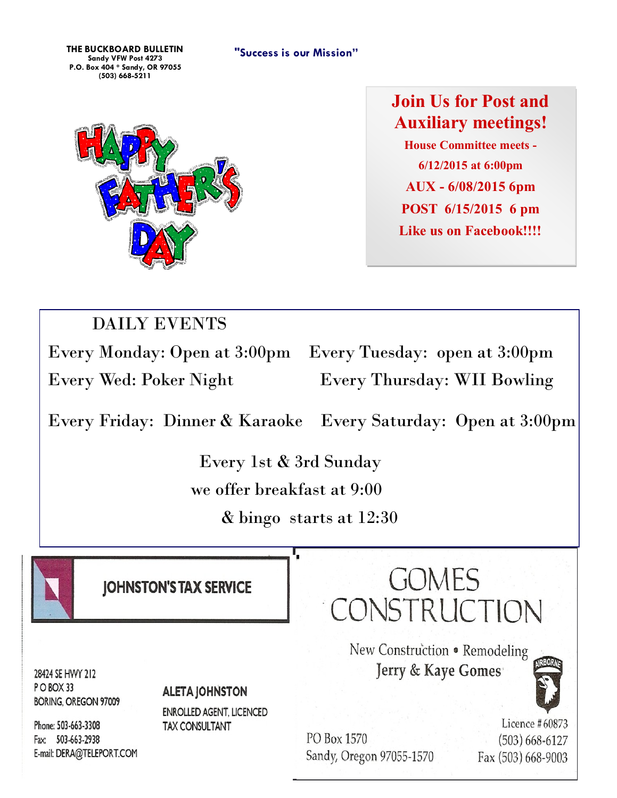**"Success is our Mission" THE BUCKBOARD BULLETIN Sandy VFW Post 4273 P.O. Box 404 \* Sandy, OR 97055 (503) 668-5211**



**Join Us for Post and Auxiliary meetings! House Committee meets - 6/12/2015 at 6:00pm AUX - 6/08/2015 6pm POST 6/15/2015 6 pm Like us on Facebook!!!!**

# DAILY EVENTS

Every Monday: Open at 3:00pm Every Tuesday: open at 3:00pm Every Wed: Poker Night Every Thursday: WII Bowling

Every Friday: Dinner & Karaoke Every Saturday: Open at 3:00pm

 Every 1st & 3rd Sunday we offer breakfast at 9:00

& bingo starts at 12:30



**IOHNSTON'S TAX SERVICE** 

**GOMES** CONSTRUCTION

New Construction . Remodeling

Jerry & Kaye Gomes

28424 SE HWY 212 PO BOX 33 **BORING, OREGON 97009** 

#### **ALETA JOHNSTON**

**ENROLLED AGENT, LICENCED TAX CONSULTANT** 

Phone: 503-663-3308 Fax: 503-663-2938 E-mail: DERA@TELEPORT.COM

PO Box 1570 Sandy, Oregon 97055-1570

Licence #60873 (503) 668-6127 Fax (503) 668-9003